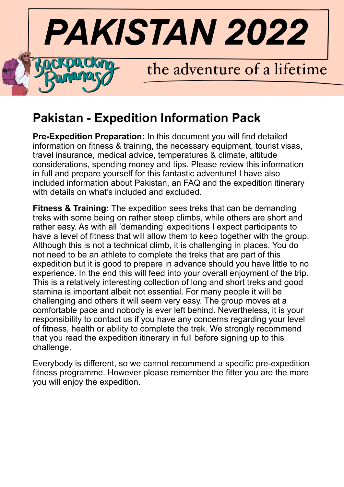

# **Pakistan - Expedition Information Pack**

**Pre-Expedition Preparation:** In this document you will find detailed information on fitness & training, the necessary equipment, tourist visas, travel insurance, medical advice, temperatures & climate, altitude considerations, spending money and tips. Please review this information in full and prepare yourself for this fantastic adventure! I have also included information about Pakistan, an FAQ and the expedition itinerary with details on what's included and excluded.

**Fitness & Training:** The expedition sees treks that can be demanding treks with some being on rather steep climbs, while others are short and rather easy. As with all 'demanding' expeditions I expect participants to have a level of fitness that will allow them to keep together with the group. Although this is not a technical climb, it is challenging in places. You do not need to be an athlete to complete the treks that are part of this expedition but it is good to prepare in advance should you have little to no experience. In the end this will feed into your overall enjoyment of the trip. This is a relatively interesting collection of long and short treks and good stamina is important albeit not essential. For many people it will be challenging and others it will seem very easy. The group moves at a comfortable pace and nobody is ever left behind. Nevertheless, it is your responsibility to contact us if you have any concerns regarding your level of fitness, health or ability to complete the trek. We strongly recommend that you read the expedition itinerary in full before signing up to this challenge.

Everybody is different, so we cannot recommend a specific pre-expedition fitness programme. However please remember the fitter you are the more you will enjoy the expedition.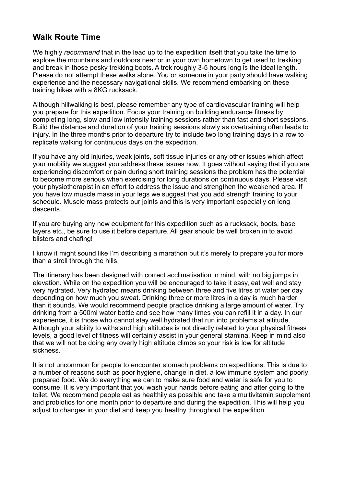### **Walk Route Time**

We highly *recommend* that in the lead up to the expedition itself that you take the time to explore the mountains and outdoors near or in your own hometown to get used to trekking and break in those pesky trekking boots. A trek roughly 3-5 hours long is the ideal length. Please do not attempt these walks alone. You or someone in your party should have walking experience and the necessary navigational skills. We recommend embarking on these training hikes with a 8KG rucksack.

Although hillwalking is best, please remember any type of cardiovascular training will help you prepare for this expedition. Focus your training on building endurance fitness by completing long, slow and low intensity training sessions rather than fast and short sessions. Build the distance and duration of your training sessions slowly as overtraining often leads to injury. In the three months prior to departure try to include two long training days in a row to replicate walking for continuous days on the expedition.

If you have any old injuries, weak joints, soft tissue injuries or any other issues which affect your mobility we suggest you address these issues now. It goes without saying that if you are experiencing discomfort or pain during short training sessions the problem has the potential to become more serious when exercising for long durations on continuous days. Please visit your physiotherapist in an effort to address the issue and strengthen the weakened area. If you have low muscle mass in your legs we suggest that you add strength training to your schedule. Muscle mass protects our joints and this is very important especially on long descents.

If you are buying any new equipment for this expedition such as a rucksack, boots, base layers etc., be sure to use it before departure. All gear should be well broken in to avoid blisters and chafing!

I know it might sound like I'm describing a marathon but it's merely to prepare you for more than a stroll through the hills.

The itinerary has been designed with correct acclimatisation in mind, with no big jumps in elevation. While on the expedition you will be encouraged to take it easy, eat well and stay very hydrated. Very hydrated means drinking between three and five litres of water per day depending on how much you sweat. Drinking three or more litres in a day is much harder than it sounds. We would recommend people practice drinking a large amount of water. Try drinking from a 500ml water bottle and see how many times you can refill it in a day. In our experience, it is those who cannot stay well hydrated that run into problems at altitude. Although your ability to withstand high altitudes is not directly related to your physical fitness levels, a good level of fitness will certainly assist in your general stamina. Keep in mind also that we will not be doing any overly high altitude climbs so your risk is low for altitude sickness.

It is not uncommon for people to encounter stomach problems on expeditions. This is due to a number of reasons such as poor hygiene, change in diet, a low immune system and poorly prepared food. We do everything we can to make sure food and water is safe for you to consume. It is very important that you wash your hands before eating and after going to the toilet. We recommend people eat as healthily as possible and take a multivitamin supplement and probiotics for one month prior to departure and during the expedition. This will help you adjust to changes in your diet and keep you healthy throughout the expedition.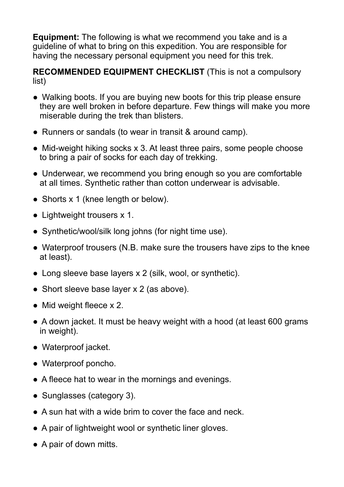**Equipment:** The following is what we recommend you take and is a guideline of what to bring on this expedition. You are responsible for having the necessary personal equipment you need for this trek.

**RECOMMENDED EQUIPMENT CHECKLIST** (This is not a compulsory list)

- **●** Walking boots. If you are buying new boots for this trip please ensure they are well broken in before departure. Few things will make you more miserable during the trek than blisters.
- Runners or sandals (to wear in transit & around camp).
- Mid-weight hiking socks x 3. At least three pairs, some people choose to bring a pair of socks for each day of trekking.
- Underwear, we recommend you bring enough so you are comfortable at all times. Synthetic rather than cotton underwear is advisable.
- Shorts x 1 (knee length or below).
- Lightweight trousers x 1.
- Synthetic/wool/silk long johns (for night time use).
- Waterproof trousers (N.B. make sure the trousers have zips to the knee at least).
- Long sleeve base layers x 2 (silk, wool, or synthetic).
- Short sleeve base layer x 2 (as above).
- Mid weight fleece  $\times$  2.
- A down jacket. It must be heavy weight with a hood (at least 600 grams) in weight).
- Waterproof jacket.
- Waterproof poncho.
- A fleece hat to wear in the mornings and evenings.
- Sunglasses (category 3).
- $\bullet$  A sun hat with a wide brim to cover the face and neck.
- A pair of lightweight wool or synthetic liner gloves.
- A pair of down mitts.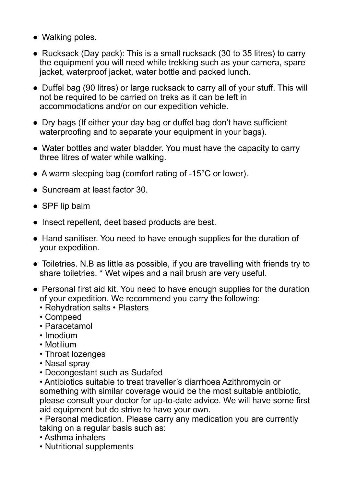- Walking poles.
- Rucksack (Day pack): This is a small rucksack (30 to 35 litres) to carry the equipment you will need while trekking such as your camera, spare jacket, waterproof jacket, water bottle and packed lunch.
- Duffel bag (90 litres) or large rucksack to carry all of your stuff. This will not be required to be carried on treks as it can be left in accommodations and/or on our expedition vehicle.
- Dry bags (If either your day bag or duffel bag don't have sufficient waterproofing and to separate your equipment in your bags).
- Water bottles and water bladder. You must have the capacity to carry three litres of water while walking.
- A warm sleeping bag (comfort rating of -15<sup>o</sup>C or lower).
- Suncream at least factor 30
- SPF lip balm
- Insect repellent, deet based products are best.
- Hand sanitiser. You need to have enough supplies for the duration of your expedition.
- Toiletries. N.B as little as possible, if you are travelling with friends try to share toiletries. \* Wet wipes and a nail brush are very useful.
- Personal first aid kit. You need to have enough supplies for the duration of your expedition. We recommend you carry the following:
	- Rehydration salts Plasters
	- Compeed
	- Paracetamol
	- Imodium
	- Motilium
	- Throat lozenges
	- Nasal spray
	- Decongestant such as Sudafed

• Antibiotics suitable to treat traveller's diarrhoea Azithromycin or something with similar coverage would be the most suitable antibiotic, please consult your doctor for up-to-date advice. We will have some first aid equipment but do strive to have your own.

• Personal medication. Please carry any medication you are currently taking on a regular basis such as:

- Asthma inhalers
- Nutritional supplements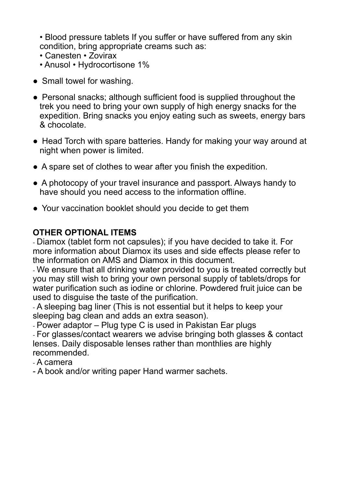• Blood pressure tablets If you suffer or have suffered from any skin condition, bring appropriate creams such as:

- Canesten Zovirax
- Anusol Hydrocortisone 1%
- Small towel for washing.
- Personal snacks; although sufficient food is supplied throughout the trek you need to bring your own supply of high energy snacks for the expedition. Bring snacks you enjoy eating such as sweets, energy bars & chocolate.
- Head Torch with spare batteries. Handy for making your way around at night when power is limited.
- A spare set of clothes to wear after you finish the expedition.
- A photocopy of your travel insurance and passport. Always handy to have should you need access to the information offline.
- Your vaccination booklet should you decide to get them

# **OTHER OPTIONAL ITEMS**

- Diamox (tablet form not capsules); if you have decided to take it. For more information about Diamox its uses and side effects please refer to the information on AMS and Diamox in this document.

- We ensure that all drinking water provided to you is treated correctly but you may still wish to bring your own personal supply of tablets/drops for water purification such as iodine or chlorine. Powdered fruit juice can be used to disguise the taste of the purification.

- A sleeping bag liner (This is not essential but it helps to keep your sleeping bag clean and adds an extra season).

- Power adaptor – Plug type C is used in Pakistan Ear plugs - For glasses/contact wearers we advise bringing both glasses & contact lenses. Daily disposable lenses rather than monthlies are highly recommended.

- A camera

- A book and/or writing paper Hand warmer sachets.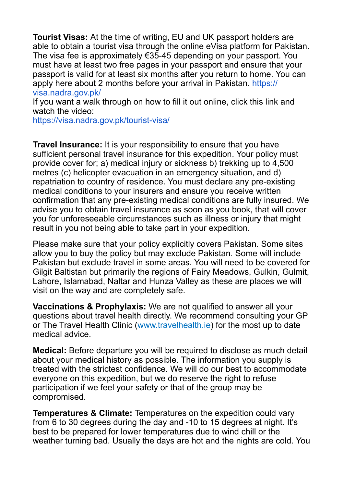**Tourist Visas:** At the time of writing, EU and UK passport holders are able to obtain a tourist visa through the online eVisa platform for Pakistan. The visa fee is approximately €35-45 depending on your passport. You must have at least two free pages in your passport and ensure that your passport is valid for at least six months after you return to home. You can apply here about 2 months before your arrival in Pakistan. https:// visa.nadra.gov.pk/

If you want a walk through on how to fill it out online, click this link and watch the video:

https://visa.nadra.gov.pk/tourist-visa/

**Travel Insurance:** It is your responsibility to ensure that you have sufficient personal travel insurance for this expedition. Your policy must provide cover for; a) medical injury or sickness b) trekking up to 4,500 metres (c) helicopter evacuation in an emergency situation, and d) repatriation to country of residence. You must declare any pre-existing medical conditions to your insurers and ensure you receive written confirmation that any pre-existing medical conditions are fully insured. We advise you to obtain travel insurance as soon as you book, that will cover you for unforeseeable circumstances such as illness or injury that might result in you not being able to take part in your expedition.

Please make sure that your policy explicitly covers Pakistan. Some sites allow you to buy the policy but may exclude Pakistan. Some will include Pakistan but exclude travel in some areas. You will need to be covered for Gilgit Baltistan but primarily the regions of Fairy Meadows, Gulkin, Gulmit, Lahore, Islamabad, Naltar and Hunza Valley as these are places we will visit on the way and are completely safe.

**Vaccinations & Prophylaxis:** We are not qualified to answer all your questions about travel health directly. We recommend consulting your GP or The Travel Health Clinic (www.travelhealth.ie) for the most up to date medical advice.

**Medical:** Before departure you will be required to disclose as much detail about your medical history as possible. The information you supply is treated with the strictest confidence. We will do our best to accommodate everyone on this expedition, but we do reserve the right to refuse participation if we feel your safety or that of the group may be compromised.

**Temperatures & Climate:** Temperatures on the expedition could vary from 6 to 30 degrees during the day and -10 to 15 degrees at night. It's best to be prepared for lower temperatures due to wind chill or the weather turning bad. Usually the days are hot and the nights are cold. You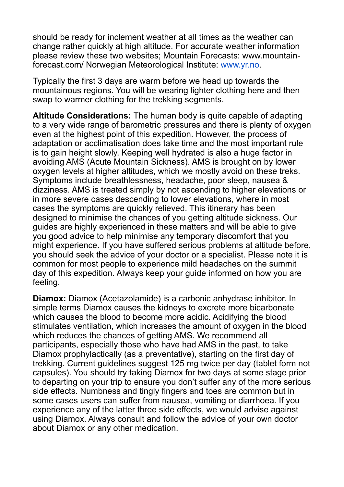should be ready for inclement weather at all times as the weather can change rather quickly at high altitude. For accurate weather information please review these two websites; Mountain Forecasts: www.mountainforecast.com/ Norwegian Meteorological Institute: www.yr.no.

Typically the first 3 days are warm before we head up towards the mountainous regions. You will be wearing lighter clothing here and then swap to warmer clothing for the trekking segments.

**Altitude Considerations:** The human body is quite capable of adapting to a very wide range of barometric pressures and there is plenty of oxygen even at the highest point of this expedition. However, the process of adaptation or acclimatisation does take time and the most important rule is to gain height slowly. Keeping well hydrated is also a huge factor in avoiding AMS (Acute Mountain Sickness). AMS is brought on by lower oxygen levels at higher altitudes, which we mostly avoid on these treks. Symptoms include breathlessness, headache, poor sleep, nausea & dizziness. AMS is treated simply by not ascending to higher elevations or in more severe cases descending to lower elevations, where in most cases the symptoms are quickly relieved. This itinerary has been designed to minimise the chances of you getting altitude sickness. Our guides are highly experienced in these matters and will be able to give you good advice to help minimise any temporary discomfort that you might experience. If you have suffered serious problems at altitude before, you should seek the advice of your doctor or a specialist. Please note it is common for most people to experience mild headaches on the summit day of this expedition. Always keep your guide informed on how you are feeling.

**Diamox:** Diamox (Acetazolamide) is a carbonic anhydrase inhibitor. In simple terms Diamox causes the kidneys to excrete more bicarbonate which causes the blood to become more acidic. Acidifying the blood stimulates ventilation, which increases the amount of oxygen in the blood which reduces the chances of getting AMS. We recommend all participants, especially those who have had AMS in the past, to take Diamox prophylactically (as a preventative), starting on the first day of trekking. Current guidelines suggest 125 mg twice per day (tablet form not capsules). You should try taking Diamox for two days at some stage prior to departing on your trip to ensure you don't suffer any of the more serious side effects. Numbness and tingly fingers and toes are common but in some cases users can suffer from nausea, vomiting or diarrhoea. If you experience any of the latter three side effects, we would advise against using Diamox. Always consult and follow the advice of your own doctor about Diamox or any other medication.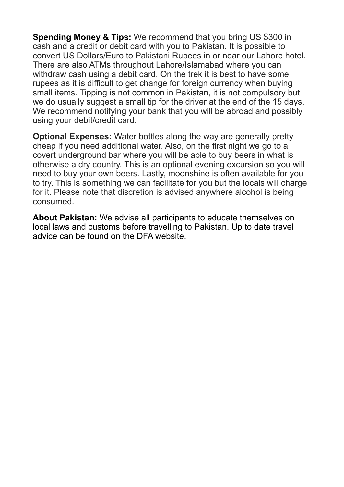**Spending Money & Tips:** We recommend that you bring US \$300 in cash and a credit or debit card with you to Pakistan. It is possible to convert US Dollars/Euro to Pakistani Rupees in or near our Lahore hotel. There are also ATMs throughout Lahore/Islamabad where you can withdraw cash using a debit card. On the trek it is best to have some rupees as it is difficult to get change for foreign currency when buying small items. Tipping is not common in Pakistan, it is not compulsory but we do usually suggest a small tip for the driver at the end of the 15 days. We recommend notifying your bank that you will be abroad and possibly using your debit/credit card.

**Optional Expenses:** Water bottles along the way are generally pretty cheap if you need additional water. Also, on the first night we go to a covert underground bar where you will be able to buy beers in what is otherwise a dry country. This is an optional evening excursion so you will need to buy your own beers. Lastly, moonshine is often available for you to try. This is something we can facilitate for you but the locals will charge for it. Please note that discretion is advised anywhere alcohol is being consumed.

**About Pakistan:** We advise all participants to educate themselves on local laws and customs before travelling to Pakistan. Up to date travel advice can be found on the DFA website.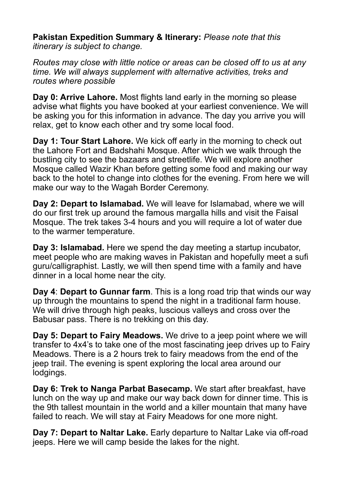**Pakistan Expedition Summary & Itinerary:** *Please note that this itinerary is subject to change.* 

*Routes may close with little notice or areas can be closed off to us at any time. We will always supplement with alternative activities, treks and routes where possible* 

**Day 0: Arrive Lahore.** Most flights land early in the morning so please advise what flights you have booked at your earliest convenience. We will be asking you for this information in advance. The day you arrive you will relax, get to know each other and try some local food.

**Day 1: Tour Start Lahore.** We kick off early in the morning to check out the Lahore Fort and Badshahi Mosque. After which we walk through the bustling city to see the bazaars and streetlife. We will explore another Mosque called Wazir Khan before getting some food and making our way back to the hotel to change into clothes for the evening. From here we will make our way to the Wagah Border Ceremony.

**Day 2: Depart to Islamabad.** We will leave for Islamabad, where we will do our first trek up around the famous margalla hills and visit the Faisal Mosque. The trek takes 3-4 hours and you will require a lot of water due to the warmer temperature.

**Day 3: Islamabad.** Here we spend the day meeting a startup incubator, meet people who are making waves in Pakistan and hopefully meet a sufi guru/calligraphist. Lastly, we will then spend time with a family and have dinner in a local home near the city.

**Day 4**: **Depart to Gunnar farm**. This is a long road trip that winds our way up through the mountains to spend the night in a traditional farm house. We will drive through high peaks, luscious valleys and cross over the Babusar pass. There is no trekking on this day.

**Day 5: Depart to Fairy Meadows.** We drive to a jeep point where we will transfer to 4x4's to take one of the most fascinating jeep drives up to Fairy Meadows. There is a 2 hours trek to fairy meadows from the end of the jeep trail. The evening is spent exploring the local area around our lodgings.

**Day 6: Trek to Nanga Parbat Basecamp.** We start after breakfast, have lunch on the way up and make our way back down for dinner time. This is the 9th tallest mountain in the world and a killer mountain that many have failed to reach. We will stay at Fairy Meadows for one more night.

**Day 7: Depart to Naltar Lake.** Early departure to Naltar Lake via off-road jeeps. Here we will camp beside the lakes for the night.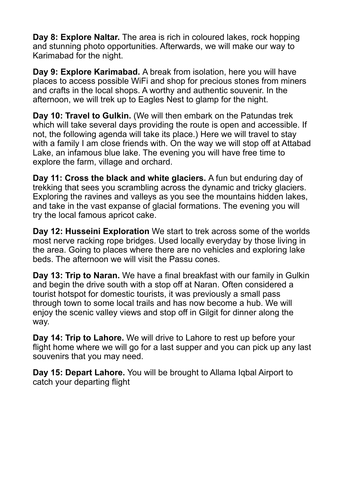**Day 8: Explore Naltar.** The area is rich in coloured lakes, rock hopping and stunning photo opportunities. Afterwards, we will make our way to Karimabad for the night.

**Day 9: Explore Karimabad.** A break from isolation, here you will have places to access possible WiFi and shop for precious stones from miners and crafts in the local shops. A worthy and authentic souvenir. In the afternoon, we will trek up to Eagles Nest to glamp for the night.

**Day 10: Travel to Gulkin.** (We will then embark on the Patundas trek which will take several days providing the route is open and accessible. If not, the following agenda will take its place.) Here we will travel to stay with a family I am close friends with. On the way we will stop off at Attabad Lake, an infamous blue lake. The evening you will have free time to explore the farm, village and orchard.

**Day 11: Cross the black and white glaciers.** A fun but enduring day of trekking that sees you scrambling across the dynamic and tricky glaciers. Exploring the ravines and valleys as you see the mountains hidden lakes, and take in the vast expanse of glacial formations. The evening you will try the local famous apricot cake.

**Day 12: Husseini Exploration** We start to trek across some of the worlds most nerve racking rope bridges. Used locally everyday by those living in the area. Going to places where there are no vehicles and exploring lake beds. The afternoon we will visit the Passu cones.

**Day 13: Trip to Naran.** We have a final breakfast with our family in Gulkin and begin the drive south with a stop off at Naran. Often considered a tourist hotspot for domestic tourists, it was previously a small pass through town to some local trails and has now become a hub. We will enjoy the scenic valley views and stop off in Gilgit for dinner along the way.

**Day 14: Trip to Lahore.** We will drive to Lahore to rest up before your flight home where we will go for a last supper and you can pick up any last souvenirs that you may need.

**Day 15: Depart Lahore.** You will be brought to Allama Iqbal Airport to catch your departing flight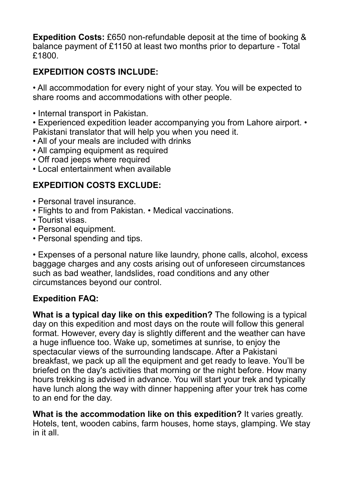**Expedition Costs:** £650 non-refundable deposit at the time of booking & balance payment of £1150 at least two months prior to departure - Total £1800.

# **EXPEDITION COSTS INCLUDE:**

• All accommodation for every night of your stay. You will be expected to share rooms and accommodations with other people.

• Internal transport in Pakistan.

• Experienced expedition leader accompanying you from Lahore airport. • Pakistani translator that will help you when you need it.

- All of your meals are included with drinks
- All camping equipment as required
- Off road jeeps where required
- Local entertainment when available

# **EXPEDITION COSTS EXCLUDE:**

- Personal travel insurance.
- Flights to and from Pakistan. Medical vaccinations.
- Tourist visas.
- Personal equipment.
- Personal spending and tips.

• Expenses of a personal nature like laundry, phone calls, alcohol, excess baggage charges and any costs arising out of unforeseen circumstances such as bad weather, landslides, road conditions and any other circumstances beyond our control.

## **Expedition FAQ:**

**What is a typical day like on this expedition?** The following is a typical day on this expedition and most days on the route will follow this general format. However, every day is slightly different and the weather can have a huge influence too. Wake up, sometimes at sunrise, to enjoy the spectacular views of the surrounding landscape. After a Pakistani breakfast, we pack up all the equipment and get ready to leave. You'll be briefed on the day's activities that morning or the night before. How many hours trekking is advised in advance. You will start your trek and typically have lunch along the way with dinner happening after your trek has come to an end for the day.

**What is the accommodation like on this expedition?** It varies greatly. Hotels, tent, wooden cabins, farm houses, home stays, glamping. We stay in it all.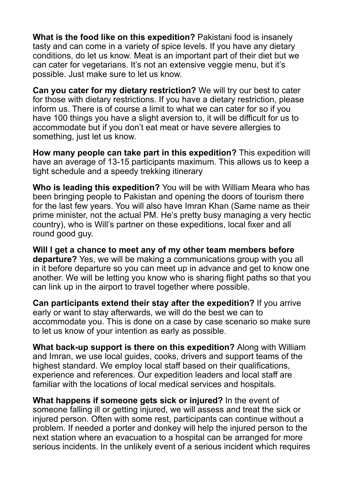**What is the food like on this expedition?** Pakistani food is insanely tasty and can come in a variety of spice levels. If you have any dietary conditions, do let us know. Meat is an important part of their diet but we can cater for vegetarians. It's not an extensive veggie menu, but it's possible. Just make sure to let us know.

**Can you cater for my dietary restriction?** We will try our best to cater for those with dietary restrictions. If you have a dietary restriction, please inform us. There is of course a limit to what we can cater for so if you have 100 things you have a slight aversion to, it will be difficult for us to accommodate but if you don't eat meat or have severe allergies to something, just let us know.

**How many people can take part in this expedition?** This expedition will have an average of 13-15 participants maximum. This allows us to keep a tight schedule and a speedy trekking itinerary

**Who is leading this expedition?** You will be with William Meara who has been bringing people to Pakistan and opening the doors of tourism there for the last few years. You will also have Imran Khan (Same name as their prime minister, not the actual PM. He's pretty busy managing a very hectic country), who is Will's partner on these expeditions, local fixer and all round good guy.

**Will I get a chance to meet any of my other team members before departure?** Yes, we will be making a communications group with you all in it before departure so you can meet up in advance and get to know one another. We will be letting you know who is sharing flight paths so that you can link up in the airport to travel together where possible.

**Can participants extend their stay after the expedition?** If you arrive early or want to stay afterwards, we will do the best we can to accommodate you. This is done on a case by case scenario so make sure to let us know of your intention as early as possible.

**What back-up support is there on this expedition?** Along with William and Imran, we use local guides, cooks, drivers and support teams of the highest standard. We employ local staff based on their qualifications, experience and references. Our expedition leaders and local staff are familiar with the locations of local medical services and hospitals.

**What happens if someone gets sick or injured?** In the event of someone falling ill or getting injured, we will assess and treat the sick or injured person. Often with some rest, participants can continue without a problem. If needed a porter and donkey will help the injured person to the next station where an evacuation to a hospital can be arranged for more serious incidents. In the unlikely event of a serious incident which requires